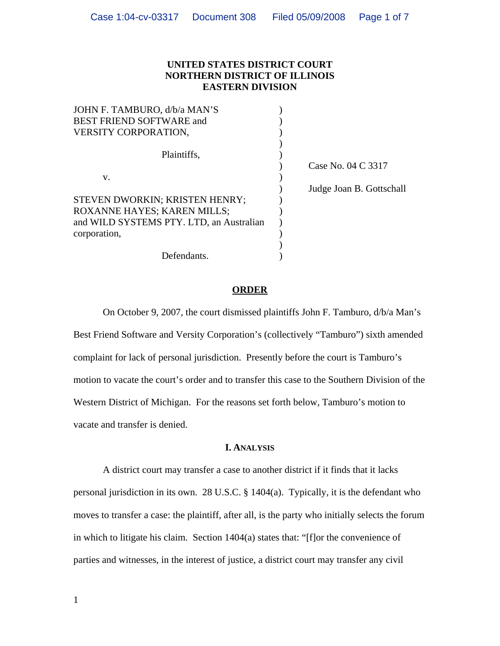# **UNITED STATES DISTRICT COURT NORTHERN DISTRICT OF ILLINOIS EASTERN DIVISION**

| JOHN F. TAMBURO, d/b/a MAN'S             |                          |
|------------------------------------------|--------------------------|
| <b>BEST FRIEND SOFTWARE and</b>          |                          |
| <b>VERSITY CORPORATION,</b>              |                          |
|                                          |                          |
| Plaintiffs,                              |                          |
|                                          | Case No. 04 C 3317       |
| V.                                       |                          |
|                                          | Judge Joan B. Gottschall |
| STEVEN DWORKIN; KRISTEN HENRY;           |                          |
| ROXANNE HAYES; KAREN MILLS;              |                          |
| and WILD SYSTEMS PTY. LTD, an Australian |                          |
| corporation,                             |                          |
|                                          |                          |
| Defendants.                              |                          |

## **ORDER**

On October 9, 2007, the court dismissed plaintiffs John F. Tamburo, d/b/a Man's Best Friend Software and Versity Corporation's (collectively "Tamburo") sixth amended complaint for lack of personal jurisdiction. Presently before the court is Tamburo's motion to vacate the court's order and to transfer this case to the Southern Division of the Western District of Michigan. For the reasons set forth below, Tamburo's motion to vacate and transfer is denied.

## **I. ANALYSIS**

A district court may transfer a case to another district if it finds that it lacks personal jurisdiction in its own. 28 U.S.C. § 1404(a). Typically, it is the defendant who moves to transfer a case: the plaintiff, after all, is the party who initially selects the forum in which to litigate his claim. Section 1404(a) states that: "[f]or the convenience of parties and witnesses, in the interest of justice, a district court may transfer any civil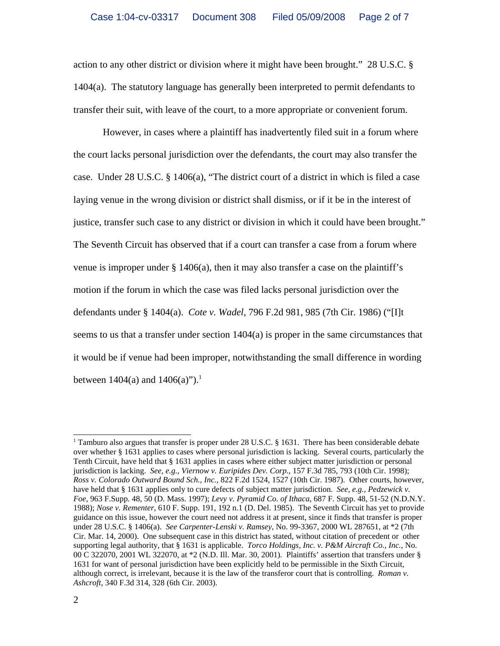action to any other district or division where it might have been brought." 28 U.S.C. § 1404(a). The statutory language has generally been interpreted to permit defendants to transfer their suit, with leave of the court, to a more appropriate or convenient forum.

However, in cases where a plaintiff has inadvertently filed suit in a forum where the court lacks personal jurisdiction over the defendants, the court may also transfer the case. Under 28 U.S.C. § 1406(a), "The district court of a district in which is filed a case laying venue in the wrong division or district shall dismiss, or if it be in the interest of justice, transfer such case to any district or division in which it could have been brought." The Seventh Circuit has observed that if a court can transfer a case from a forum where venue is improper under § 1406(a), then it may also transfer a case on the plaintiff's motion if the forum in which the case was filed lacks personal jurisdiction over the defendants under § 1404(a). *Cote v. Wadel*, 796 F.2d 981, 985 (7th Cir. 1986) ("[I]t seems to us that a transfer under section 1404(a) is proper in the same circumstances that it would be if venue had been improper, notwithstanding the small difference in wording between  $1404(a)$  and  $1406(a)$ ").<sup>1</sup>

<sup>&</sup>lt;sup>1</sup> Tamburo also argues that transfer is proper under 28 U.S.C. § 1631. There has been considerable debate over whether § 1631 applies to cases where personal jurisdiction is lacking. Several courts, particularly the Tenth Circuit, have held that § 1631 applies in cases where either subject matter jurisdiction or personal jurisdiction is lacking. *See, e.g., Viernow v. Euripides Dev. Corp.*, 157 F.3d 785, 793 (10th Cir. 1998); *Ross v. Colorado Outward Bound Sch., Inc.*, 822 F.2d 1524, 1527 (10th Cir. 1987). Other courts, however, have held that § 1631 applies only to cure defects of subject matter jurisdiction. *See, e.g., Pedzewick v. Foe*, 963 F.Supp. 48, 50 (D. Mass. 1997); *Levy v. Pyramid Co. of Ithaca*, 687 F. Supp. 48, 51-52 (N.D.N.Y. 1988); *Nose v. Rementer*, 610 F. Supp. 191, 192 n.1 (D. Del. 1985). The Seventh Circuit has yet to provide guidance on this issue, however the court need not address it at present, since it finds that transfer is proper under 28 U.S.C. § 1406(a). *See Carpenter-Lenski v. Ramsey*, No. 99-3367, 2000 WL 287651, at \*2 (7th Cir. Mar. 14, 2000). One subsequent case in this district has stated, without citation of precedent or other supporting legal authority, that § 1631 is applicable. *Torco Holdings, Inc. v. P&M Aircraft Co., Inc.*, No. 00 C 322070, 2001 WL 322070, at \*2 (N.D. Ill. Mar. 30, 2001). Plaintiffs' assertion that transfers under § 1631 for want of personal jurisdiction have been explicitly held to be permissible in the Sixth Circuit, although correct, is irrelevant, because it is the law of the transferor court that is controlling. *Roman v. Ashcroft*, 340 F.3d 314, 328 (6th Cir. 2003).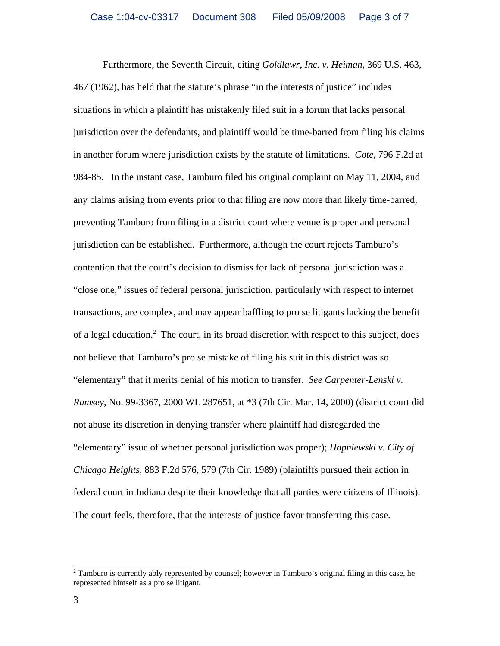Furthermore, the Seventh Circuit, citing *Goldlawr, Inc. v. Heiman,* 369 U.S. 463, 467 (1962), has held that the statute's phrase "in the interests of justice" includes situations in which a plaintiff has mistakenly filed suit in a forum that lacks personal jurisdiction over the defendants, and plaintiff would be time-barred from filing his claims in another forum where jurisdiction exists by the statute of limitations. *Cote*, 796 F.2d at 984-85. In the instant case, Tamburo filed his original complaint on May 11, 2004, and any claims arising from events prior to that filing are now more than likely time-barred, preventing Tamburo from filing in a district court where venue is proper and personal jurisdiction can be established. Furthermore, although the court rejects Tamburo's contention that the court's decision to dismiss for lack of personal jurisdiction was a "close one," issues of federal personal jurisdiction, particularly with respect to internet transactions, are complex, and may appear baffling to pro se litigants lacking the benefit of a legal education.<sup>2</sup> The court, in its broad discretion with respect to this subject, does not believe that Tamburo's pro se mistake of filing his suit in this district was so "elementary" that it merits denial of his motion to transfer. *See Carpenter-Lenski v. Ramsey*, No. 99-3367, 2000 WL 287651, at \*3 (7th Cir. Mar. 14, 2000) (district court did not abuse its discretion in denying transfer where plaintiff had disregarded the "elementary" issue of whether personal jurisdiction was proper); *Hapniewski v. City of Chicago Heights*, 883 F.2d 576, 579 (7th Cir. 1989) (plaintiffs pursued their action in federal court in Indiana despite their knowledge that all parties were citizens of Illinois). The court feels, therefore, that the interests of justice favor transferring this case.

<sup>&</sup>lt;sup>2</sup> Tamburo is currently ably represented by counsel; however in Tamburo's original filing in this case, he represented himself as a pro se litigant.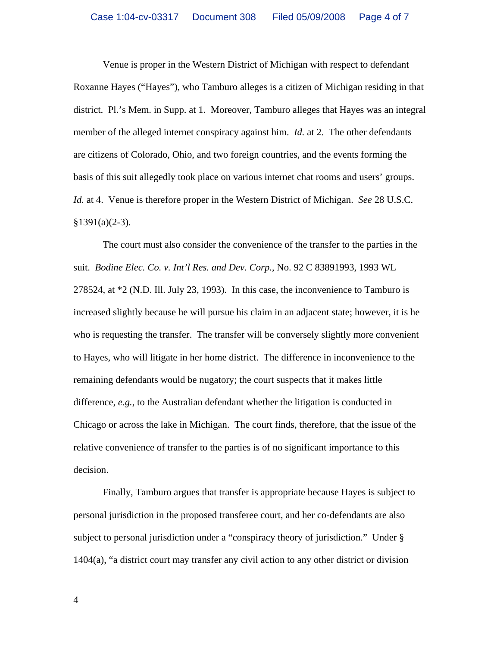Venue is proper in the Western District of Michigan with respect to defendant Roxanne Hayes ("Hayes"), who Tamburo alleges is a citizen of Michigan residing in that district. Pl.'s Mem. in Supp. at 1. Moreover, Tamburo alleges that Hayes was an integral member of the alleged internet conspiracy against him. *Id.* at 2. The other defendants are citizens of Colorado, Ohio, and two foreign countries, and the events forming the basis of this suit allegedly took place on various internet chat rooms and users' groups. *Id.* at 4. Venue is therefore proper in the Western District of Michigan. *See* 28 U.S.C.  $§1391(a)(2-3).$ 

The court must also consider the convenience of the transfer to the parties in the suit. *Bodine Elec. Co. v. Int'l Res. and Dev. Corp.*, No. 92 C 83891993, 1993 WL 278524, at \*2 (N.D. Ill. July 23, 1993). In this case, the inconvenience to Tamburo is increased slightly because he will pursue his claim in an adjacent state; however, it is he who is requesting the transfer. The transfer will be conversely slightly more convenient to Hayes, who will litigate in her home district. The difference in inconvenience to the remaining defendants would be nugatory; the court suspects that it makes little difference, *e.g.*, to the Australian defendant whether the litigation is conducted in Chicago or across the lake in Michigan. The court finds, therefore, that the issue of the relative convenience of transfer to the parties is of no significant importance to this decision.

Finally, Tamburo argues that transfer is appropriate because Hayes is subject to personal jurisdiction in the proposed transferee court, and her co-defendants are also subject to personal jurisdiction under a "conspiracy theory of jurisdiction." Under § 1404(a), "a district court may transfer any civil action to any other district or division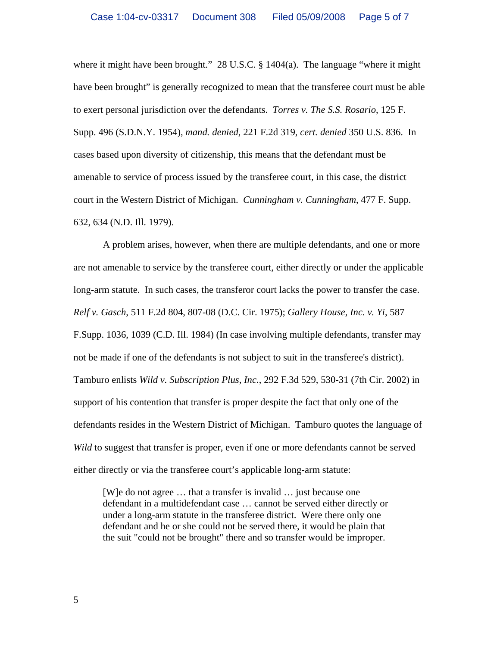where it might have been brought." 28 U.S.C. § 1404(a). The language "where it might have been brought" is generally recognized to mean that the transferee court must be able to exert personal jurisdiction over the defendants. *Torres v. The S.S. Rosario*, 125 F. Supp. 496 (S.D.N.Y. 1954), *mand. denied*, 221 F.2d 319, *cert. denied* 350 U.S. 836. In cases based upon diversity of citizenship, this means that the defendant must be amenable to service of process issued by the transferee court, in this case, the district court in the Western District of Michigan. *Cunningham v. Cunningham*, 477 F. Supp. 632, 634 (N.D. Ill. 1979).

A problem arises, however, when there are multiple defendants, and one or more are not amenable to service by the transferee court, either directly or under the applicable long-arm statute. In such cases, the transferor court lacks the power to transfer the case. *Relf v. Gasch*, 511 F.2d 804, 807-08 (D.C. Cir. 1975); *Gallery House, Inc. v. Yi*, 587 F.Supp. 1036, 1039 (C.D. Ill. 1984) (In case involving multiple defendants, transfer may not be made if one of the defendants is not subject to suit in the transferee's district). Tamburo enlists *Wild v. Subscription Plus, Inc.*, 292 F.3d 529, 530-31 (7th Cir. 2002) in support of his contention that transfer is proper despite the fact that only one of the defendants resides in the Western District of Michigan. Tamburo quotes the language of *Wild* to suggest that transfer is proper, even if one or more defendants cannot be served either directly or via the transferee court's applicable long-arm statute:

[W]e do not agree … that a transfer is invalid … just because one defendant in a multidefendant case … cannot be served either directly or under a long-arm statute in the transferee district. Were there only one defendant and he or she could not be served there, it would be plain that the suit "could not be brought" there and so transfer would be improper.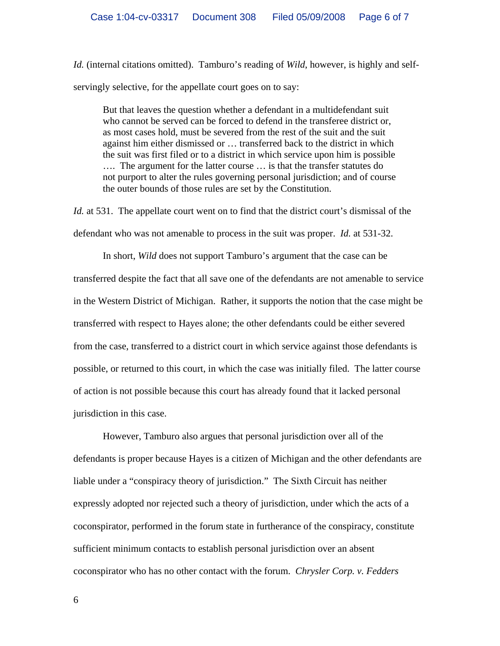*Id.* (internal citations omitted). Tamburo's reading of *Wild*, however, is highly and selfservingly selective, for the appellate court goes on to say:

But that leaves the question whether a defendant in a multidefendant suit who cannot be served can be forced to defend in the transferee district or, as most cases hold, must be severed from the rest of the suit and the suit against him either dismissed or … transferred back to the district in which the suit was first filed or to a district in which service upon him is possible …. The argument for the latter course … is that the transfer statutes do not purport to alter the rules governing personal jurisdiction; and of course the outer bounds of those rules are set by the Constitution.

*Id.* at 531. The appellate court went on to find that the district court's dismissal of the defendant who was not amenable to process in the suit was proper. *Id.* at 531-32.

In short, *Wild* does not support Tamburo's argument that the case can be transferred despite the fact that all save one of the defendants are not amenable to service in the Western District of Michigan. Rather, it supports the notion that the case might be transferred with respect to Hayes alone; the other defendants could be either severed from the case, transferred to a district court in which service against those defendants is possible, or returned to this court, in which the case was initially filed. The latter course of action is not possible because this court has already found that it lacked personal jurisdiction in this case.

However, Tamburo also argues that personal jurisdiction over all of the defendants is proper because Hayes is a citizen of Michigan and the other defendants are liable under a "conspiracy theory of jurisdiction." The Sixth Circuit has neither expressly adopted nor rejected such a theory of jurisdiction, under which the acts of a coconspirator, performed in the forum state in furtherance of the conspiracy, constitute sufficient minimum contacts to establish personal jurisdiction over an absent coconspirator who has no other contact with the forum. *Chrysler Corp. v. Fedders*